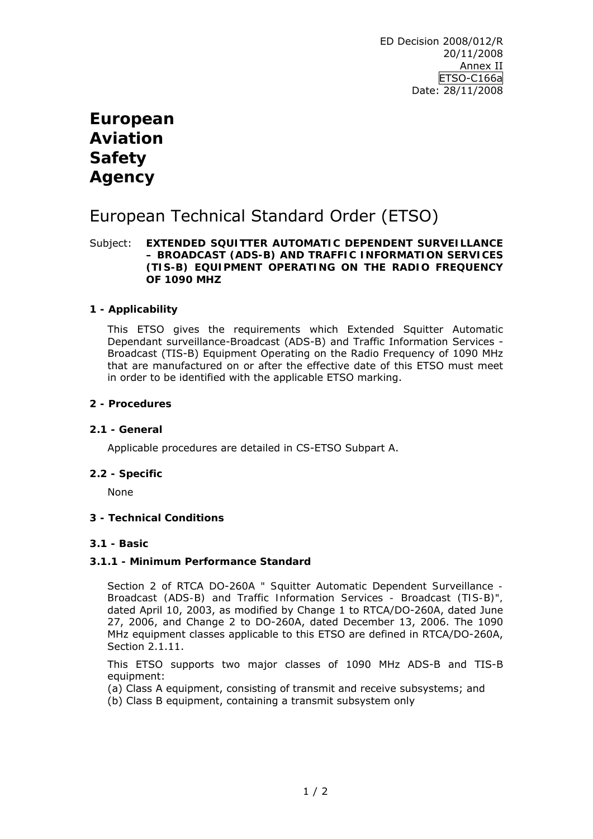# **European Aviation Safety Agency**

# European Technical Standard Order (ETSO)

#### Subject: **EXTENDED SQUITTER AUTOMATIC DEPENDENT SURVEILLANCE – BROADCAST (ADS-B) AND TRAFFIC INFORMATION SERVICES (TIS-B) EQUIPMENT OPERATING ON THE RADIO FREQUENCY OF 1090 MHZ**

## **1 - Applicability**

This ETSO gives the requirements which Extended Squitter Automatic Dependant surveillance-Broadcast (ADS-B) and Traffic Information Services - Broadcast (TIS-B) Equipment Operating on the Radio Frequency of 1090 MHz that are manufactured on or after the effective date of this ETSO must meet in order to be identified with the applicable ETSO marking.

#### **2 - Procedures**

#### **2.1 - General**

Applicable procedures are detailed in CS-ETSO Subpart A.

#### **2.2 - Specific**

None

## **3 - Technical Conditions**

## **3.1 - Basic**

## **3.1.1 - Minimum Performance Standard**

Section 2 of RTCA DO-260A *" Squitter Automatic Dependent Surveillance - Broadcast (ADS-B) and Traffic Information Services - Broadcast (TIS-B)",* dated April 10, 2003, as modified by Change 1 to RTCA/DO-260A, dated June 27, 2006, and Change 2 to DO-260A, dated December 13, 2006. The 1090 MHz equipment classes applicable to this ETSO are defined in RTCA/DO-260A, Section 2.1.11.

This ETSO supports two major classes of 1090 MHz ADS-B and TIS-B equipment:

(a) Class A equipment, consisting of transmit and receive subsystems; and (b) Class B equipment, containing a transmit subsystem only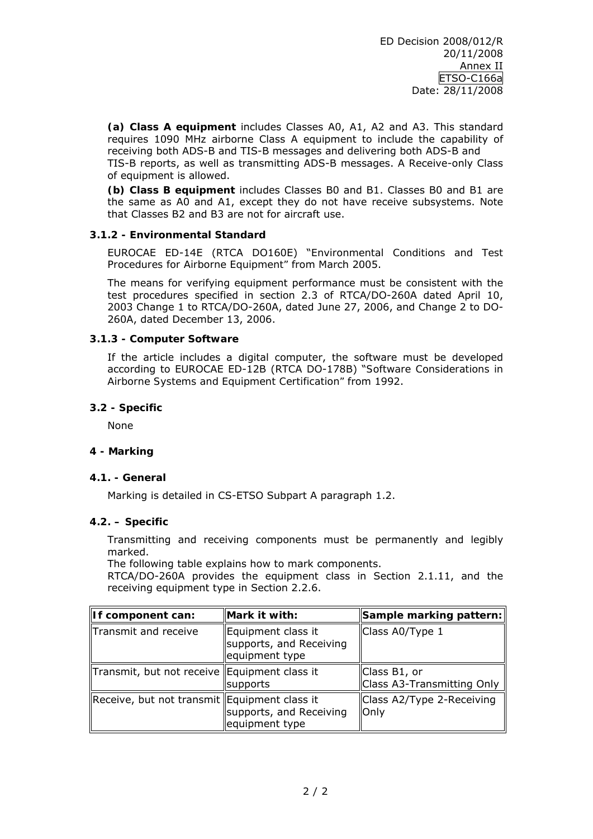**(a) Class A equipment** includes Classes A0, A1, A2 and A3. This standard requires 1090 MHz airborne Class A equipment to include the capability of receiving both ADS-B and TIS-B messages and delivering both ADS-B and TIS-B reports, as well as transmitting ADS-B messages. A Receive-only Class of equipment is allowed.

**(b) Class B equipment** includes Classes B0 and B1. Classes B0 and B1 are the same as A0 and A1, except they do not have receive subsystems. Note that Classes B2 and B3 are not for aircraft use.

## **3.1.2 - Environmental Standard**

EUROCAE ED-14E (RTCA DO160E) "*Environmental Conditions and Test Procedures for Airborne Equipment"* from March 2005.

The means for verifying equipment performance must be consistent with the test procedures specified in section 2.3 of RTCA/DO-260A dated April 10, 2003 Change 1 to RTCA/DO-260A, dated June 27, 2006, and Change 2 to DO-260A, dated December 13, 2006.

## **3.1.3 - Computer Software**

If the article includes a digital computer, the software must be developed according to EUROCAE ED-12B (RTCA DO-178B) "*Software Considerations in Airborne Systems and Equipment Certification"* from 1992.

#### **3.2 - Specific**

None

## **4 - Marking**

#### **4.1. - General**

Marking is detailed in CS-ETSO Subpart A paragraph 1.2.

## **4.2. – Specific**

Transmitting and receiving components must be permanently and legibly marked.

The following table explains how to mark components.

RTCA/DO-260A provides the equipment class in Section 2.1.11, and the receiving equipment type in Section 2.2.6.

| If component can:                              | Mark it with:                                                   | Sample marking pattern:                    |
|------------------------------------------------|-----------------------------------------------------------------|--------------------------------------------|
| Transmit and receive                           | Equipment class it<br>supports, and Receiving<br>equipment type | Class A0/Type 1                            |
| Transmit, but not receive   Equipment class it | supports                                                        | Class B1, or<br>Class A3-Transmitting Only |
| Receive, but not transmit   Equipment class it | supports, and Receiving<br>equipment type                       | Class A2/Type 2-Receiving<br>Only          |